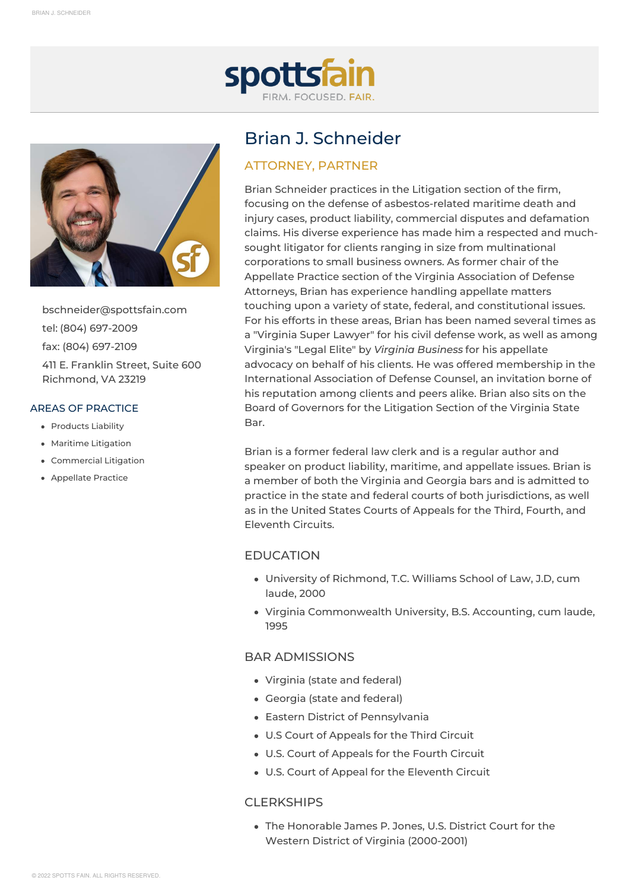



[bschneider@spottsfain.com](mailto:bschneider@spottsfain.com) tel: (804) [697-2009](tel:(804)697-2009) fax: (804) [697-2109](tel:(804)697-2109) 411 E. Franklin Street, Suite 600 Richmond, VA 23219

#### AREAS OF PRACTICE

- [Products](https://www.spottsfain.com/our-services/products-liability) Liability
- Maritime [Litigation](https://www.spottsfain.com/our-services/maritime-litigation)
- [Commercial](https://www.spottsfain.com/our-services/commercial-litigation) Litigation
- [Appellate](https://www.spottsfain.com/our-services/appellate-practice) Practice

# Brian J. Schneider

## ATTORNEY, PARTNER

Brian Schneider practices in the Litigation section of the firm, focusing on the defense of asbestos-related maritime death and injury cases, product liability, commercial disputes and defamation claims. His diverse experience has made him a respected and muchsought litigator for clients ranging in size from multinational corporations to small business owners. As former chair of the Appellate Practice section of the Virginia Association of Defense Attorneys, Brian has experience handling appellate matters touching upon a variety of state, federal, and constitutional issues. For his efforts in these areas, Brian has been named several times as a "Virginia Super Lawyer" for his civil defense work, as well as among Virginia's "Legal Elite" by *Virginia Business* for his appellate advocacy on behalf of his clients. He was offered membership in the International Association of Defense Counsel, an invitation borne of his reputation among clients and peers alike. Brian also sits on the Board of Governors for the Litigation Section of the Virginia State Bar.

Brian is a former federal law clerk and is a regular author and speaker on product liability, maritime, and appellate issues. Brian is a member of both the Virginia and Georgia bars and is admitted to practice in the state and federal courts of both jurisdictions, as well as in the United States Courts of Appeals for the Third, Fourth, and Eleventh Circuits.

## [EDUCATION](#page-0-0)

- <span id="page-0-0"></span>University of Richmond, T.C. Williams School of Law, J.D, cum laude, 2000
- Virginia Commonwealth University, B.S. Accounting, cum laude, 1995

## BAR [ADMISSIONS](#page-0-1)

- <span id="page-0-1"></span>Virginia (state and federal)
- Georgia (state and federal)
- Eastern District of Pennsylvania
- U.S Court of Appeals for the Third Circuit
- U.S. Court of Appeals for the Fourth Circuit
- U.S. Court of Appeal for the Eleventh Circuit

### [CLERKSHIPS](#page-0-2)

<span id="page-0-2"></span>The Honorable James P. Jones, U.S. District Court for the Western District of Virginia (2000-2001)